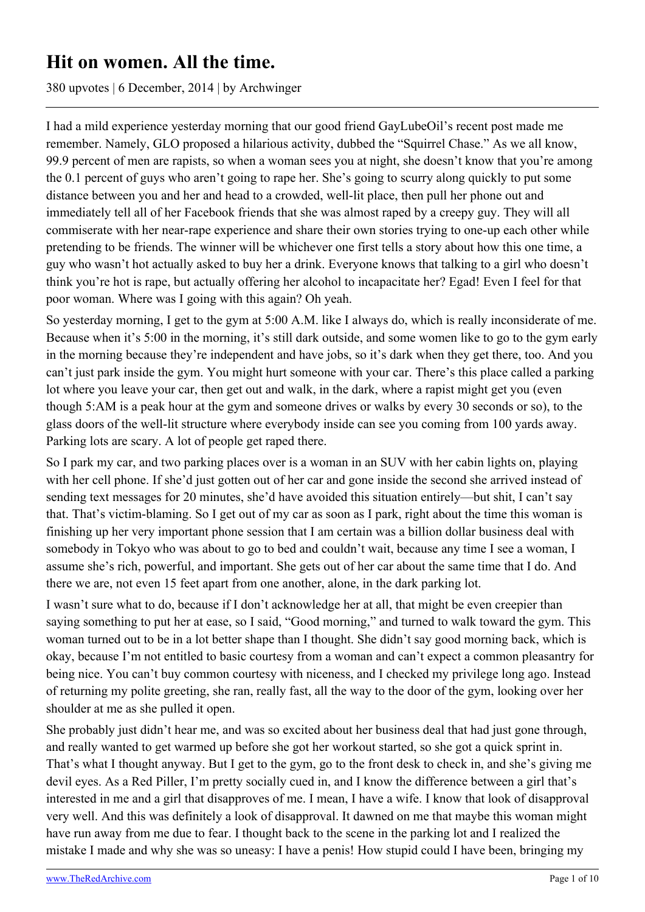# **Hit on women. All the time.**

380 upvotes | 6 December, 2014 | by Archwinger

I had a mild experience yesterday morning that our good friend GayLubeOil's recent post made me remember. Namely, GLO proposed a hilarious activity, dubbed the "Squirrel Chase." As we all know, 99.9 percent of men are rapists, so when a woman sees you at night, she doesn't know that you're among the 0.1 percent of guys who aren't going to rape her. She's going to scurry along quickly to put some distance between you and her and head to a crowded, well-lit place, then pull her phone out and immediately tell all of her Facebook friends that she was almost raped by a creepy guy. They will all commiserate with her near-rape experience and share their own stories trying to one-up each other while pretending to be friends. The winner will be whichever one first tells a story about how this one time, a guy who wasn't hot actually asked to buy her a drink. Everyone knows that talking to a girl who doesn't think you're hot is rape, but actually offering her alcohol to incapacitate her? Egad! Even I feel for that poor woman. Where was I going with this again? Oh yeah.

So yesterday morning, I get to the gym at 5:00 A.M. like I always do, which is really inconsiderate of me. Because when it's 5:00 in the morning, it's still dark outside, and some women like to go to the gym early in the morning because they're independent and have jobs, so it's dark when they get there, too. And you can't just park inside the gym. You might hurt someone with your car. There's this place called a parking lot where you leave your car, then get out and walk, in the dark, where a rapist might get you (even though 5:AM is a peak hour at the gym and someone drives or walks by every 30 seconds or so), to the glass doors of the well-lit structure where everybody inside can see you coming from 100 yards away. Parking lots are scary. A lot of people get raped there.

So I park my car, and two parking places over is a woman in an SUV with her cabin lights on, playing with her cell phone. If she'd just gotten out of her car and gone inside the second she arrived instead of sending text messages for 20 minutes, she'd have avoided this situation entirely—but shit, I can't say that. That's victim-blaming. So I get out of my car as soon as I park, right about the time this woman is finishing up her very important phone session that I am certain was a billion dollar business deal with somebody in Tokyo who was about to go to bed and couldn't wait, because any time I see a woman, I assume she's rich, powerful, and important. She gets out of her car about the same time that I do. And there we are, not even 15 feet apart from one another, alone, in the dark parking lot.

I wasn't sure what to do, because if I don't acknowledge her at all, that might be even creepier than saying something to put her at ease, so I said, "Good morning," and turned to walk toward the gym. This woman turned out to be in a lot better shape than I thought. She didn't say good morning back, which is okay, because I'm not entitled to basic courtesy from a woman and can't expect a common pleasantry for being nice. You can't buy common courtesy with niceness, and I checked my privilege long ago. Instead of returning my polite greeting, she ran, really fast, all the way to the door of the gym, looking over her shoulder at me as she pulled it open.

She probably just didn't hear me, and was so excited about her business deal that had just gone through, and really wanted to get warmed up before she got her workout started, so she got a quick sprint in. That's what I thought anyway. But I get to the gym, go to the front desk to check in, and she's giving me devil eyes. As a Red Piller, I'm pretty socially cued in, and I know the difference between a girl that's interested in me and a girl that disapproves of me. I mean, I have a wife. I know that look of disapproval very well. And this was definitely a look of disapproval. It dawned on me that maybe this woman might have run away from me due to fear. I thought back to the scene in the parking lot and I realized the mistake I made and why she was so uneasy: I have a penis! How stupid could I have been, bringing my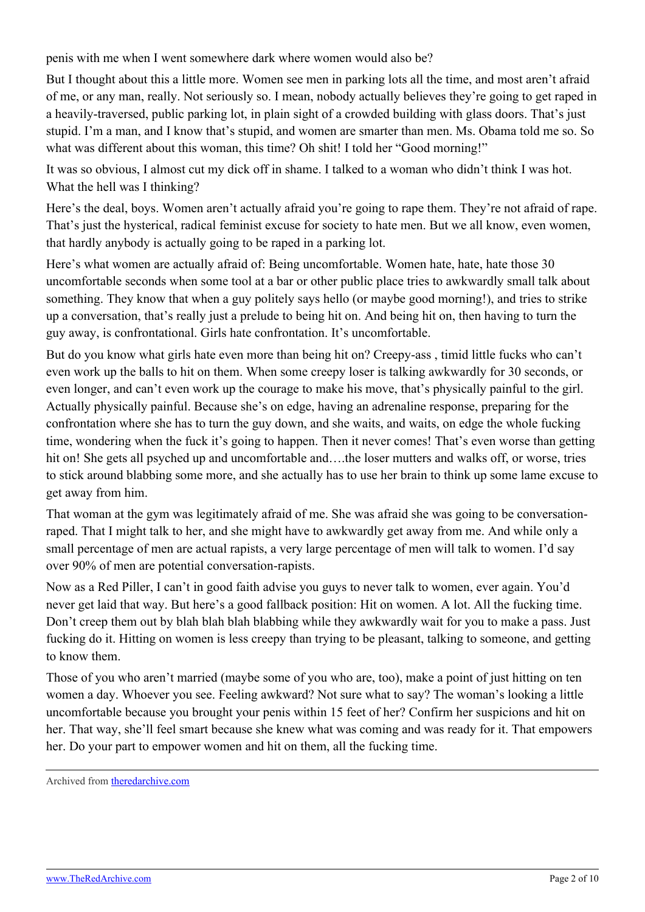penis with me when I went somewhere dark where women would also be?

But I thought about this a little more. Women see men in parking lots all the time, and most aren't afraid of me, or any man, really. Not seriously so. I mean, nobody actually believes they're going to get raped in a heavily-traversed, public parking lot, in plain sight of a crowded building with glass doors. That's just stupid. I'm a man, and I know that's stupid, and women are smarter than men. Ms. Obama told me so. So what was different about this woman, this time? Oh shit! I told her "Good morning!"

It was so obvious, I almost cut my dick off in shame. I talked to a woman who didn't think I was hot. What the hell was I thinking?

Here's the deal, boys. Women aren't actually afraid you're going to rape them. They're not afraid of rape. That's just the hysterical, radical feminist excuse for society to hate men. But we all know, even women, that hardly anybody is actually going to be raped in a parking lot.

Here's what women are actually afraid of: Being uncomfortable. Women hate, hate, hate those 30 uncomfortable seconds when some tool at a bar or other public place tries to awkwardly small talk about something. They know that when a guy politely says hello (or maybe good morning!), and tries to strike up a conversation, that's really just a prelude to being hit on. And being hit on, then having to turn the guy away, is confrontational. Girls hate confrontation. It's uncomfortable.

But do you know what girls hate even more than being hit on? Creepy-ass , timid little fucks who can't even work up the balls to hit on them. When some creepy loser is talking awkwardly for 30 seconds, or even longer, and can't even work up the courage to make his move, that's physically painful to the girl. Actually physically painful. Because she's on edge, having an adrenaline response, preparing for the confrontation where she has to turn the guy down, and she waits, and waits, on edge the whole fucking time, wondering when the fuck it's going to happen. Then it never comes! That's even worse than getting hit on! She gets all psyched up and uncomfortable and….the loser mutters and walks off, or worse, tries to stick around blabbing some more, and she actually has to use her brain to think up some lame excuse to get away from him.

That woman at the gym was legitimately afraid of me. She was afraid she was going to be conversationraped. That I might talk to her, and she might have to awkwardly get away from me. And while only a small percentage of men are actual rapists, a very large percentage of men will talk to women. I'd say over 90% of men are potential conversation-rapists.

Now as a Red Piller, I can't in good faith advise you guys to never talk to women, ever again. You'd never get laid that way. But here's a good fallback position: Hit on women. A lot. All the fucking time. Don't creep them out by blah blah blah blabbing while they awkwardly wait for you to make a pass. Just fucking do it. Hitting on women is less creepy than trying to be pleasant, talking to someone, and getting to know them.

Those of you who aren't married (maybe some of you who are, too), make a point of just hitting on ten women a day. Whoever you see. Feeling awkward? Not sure what to say? The woman's looking a little uncomfortable because you brought your penis within 15 feet of her? Confirm her suspicions and hit on her. That way, she'll feel smart because she knew what was coming and was ready for it. That empowers her. Do your part to empower women and hit on them, all the fucking time.

Archived from [theredarchive.com](https://theredarchive.com/r/TheRedPill/hit-on-women-all-the-time.25877)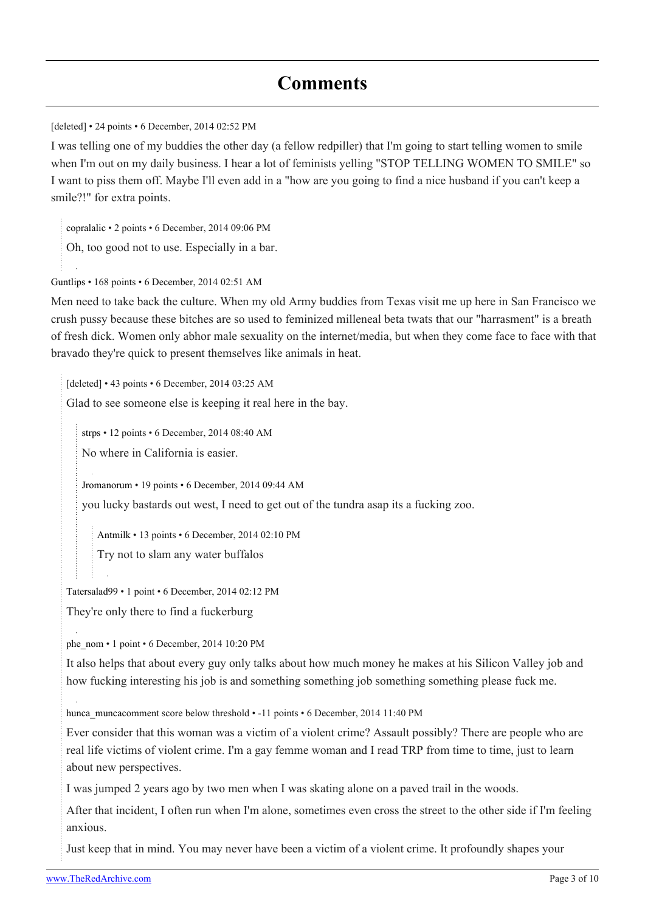## **Comments**

[deleted] • 24 points • 6 December, 2014 02:52 PM

I was telling one of my buddies the other day (a fellow redpiller) that I'm going to start telling women to smile when I'm out on my daily business. I hear a lot of feminists yelling "STOP TELLING WOMEN TO SMILE" so I want to piss them off. Maybe I'll even add in a "how are you going to find a nice husband if you can't keep a smile?!" for extra points.

[copralalic](https://old.reddit.com/user/copralalic) • 2 points • 6 December, 2014 09:06 PM Oh, too good not to use. Especially in a bar.

[Guntlips](https://old.reddit.com/user/Guntlips) • 168 points • 6 December, 2014 02:51 AM

Men need to take back the culture. When my old Army buddies from Texas visit me up here in San Francisco we crush pussy because these bitches are so used to feminized milleneal beta twats that our "harrasment" is a breath of fresh dick. Women only abhor male sexuality on the internet/media, but when they come face to face with that bravado they're quick to present themselves like animals in heat.

[deleted] • 43 points • 6 December, 2014 03:25 AM

Glad to see someone else is keeping it real here in the bay.

[strps](https://old.reddit.com/user/strps) • 12 points • 6 December, 2014 08:40 AM

No where in California is easier.

[Jromanorum](https://old.reddit.com/user/Jromanorum) • 19 points • 6 December, 2014 09:44 AM

you lucky bastards out west, I need to get out of the tundra asap its a fucking zoo.

[Antmilk](https://old.reddit.com/user/Antmilk) • 13 points • 6 December, 2014 02:10 PM

Try not to slam any water buffalos

[Tatersalad99](https://old.reddit.com/user/Tatersalad99) • 1 point • 6 December, 2014 02:12 PM

They're only there to find a fuckerburg

[phe\\_nom](https://old.reddit.com/user/phe_nom) • 1 point • 6 December, 2014 10:20 PM

It also helps that about every guy only talks about how much money he makes at his Silicon Valley job and how fucking interesting his job is and something something job something something please fuck me.

hunca muncacomment score below threshold • -11 points • 6 December, 2014 11:40 PM

Ever consider that this woman was a victim of a violent crime? Assault possibly? There are people who are real life victims of violent crime. I'm a gay femme woman and I read TRP from time to time, just to learn about new perspectives.

I was jumped 2 years ago by two men when I was skating alone on a paved trail in the woods.

After that incident, I often run when I'm alone, sometimes even cross the street to the other side if I'm feeling anxious.

Just keep that in mind. You may never have been a victim of a violent crime. It profoundly shapes your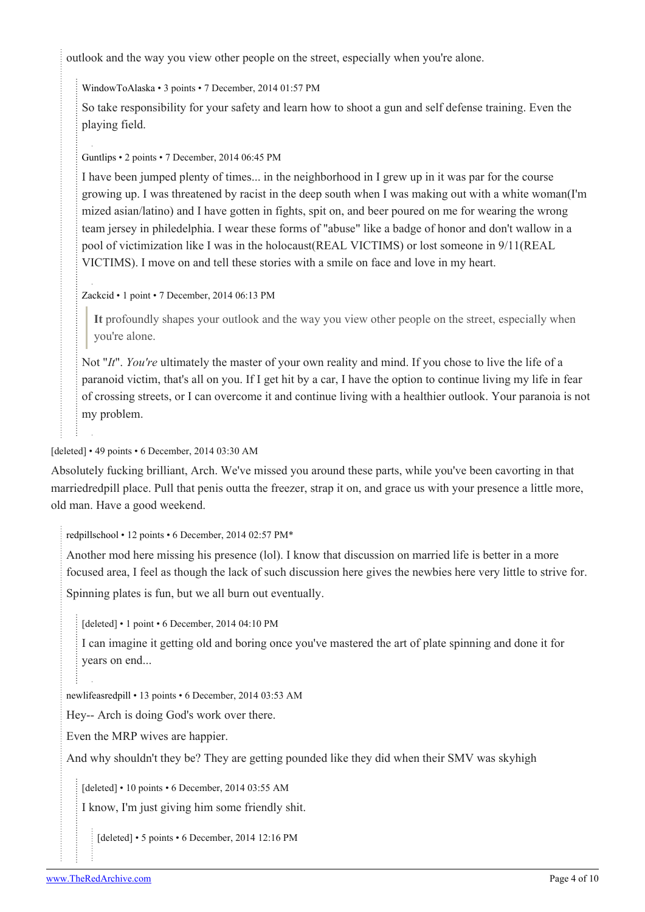outlook and the way you view other people on the street, especially when you're alone.

[WindowToAlaska](https://old.reddit.com/user/WindowToAlaska) • 3 points • 7 December, 2014 01:57 PM

So take responsibility for your safety and learn how to shoot a gun and self defense training. Even the playing field.

[Guntlips](https://old.reddit.com/user/Guntlips) • 2 points • 7 December, 2014 06:45 PM

I have been jumped plenty of times... in the neighborhood in I grew up in it was par for the course growing up. I was threatened by racist in the deep south when I was making out with a white woman(I'm mized asian/latino) and I have gotten in fights, spit on, and beer poured on me for wearing the wrong team jersey in philedelphia. I wear these forms of "abuse" like a badge of honor and don't wallow in a pool of victimization like I was in the holocaust(REAL VICTIMS) or lost someone in 9/11(REAL VICTIMS). I move on and tell these stories with a smile on face and love in my heart.

[Zackcid](https://old.reddit.com/user/Zackcid) • 1 point • 7 December, 2014 06:13 PM

**It** profoundly shapes your outlook and the way you view other people on the street, especially when you're alone.

Not "*It*". *You're* ultimately the master of your own reality and mind. If you chose to live the life of a paranoid victim, that's all on you. If I get hit by a car, I have the option to continue living my life in fear of crossing streets, or I can overcome it and continue living with a healthier outlook. Your paranoia is not my problem.

### [deleted] • 49 points • 6 December, 2014 03:30 AM

Absolutely fucking brilliant, Arch. We've missed you around these parts, while you've been cavorting in that marriedredpill place. Pull that penis outta the freezer, strap it on, and grace us with your presence a little more, old man. Have a good weekend.

[redpillschool](https://old.reddit.com/user/redpillschool) • 12 points • 6 December, 2014 02:57 PM\*

Another mod here missing his presence (lol). I know that discussion on married life is better in a more focused area, I feel as though the lack of such discussion here gives the newbies here very little to strive for. Spinning plates is fun, but we all burn out eventually.

[deleted] • 1 point • 6 December, 2014 04:10 PM

I can imagine it getting old and boring once you've mastered the art of plate spinning and done it for years on end...

[newlifeasredpill](https://old.reddit.com/user/newlifeasredpill) • 13 points • 6 December, 2014 03:53 AM

Hey-- Arch is doing God's work over there.

Even the MRP wives are happier.

And why shouldn't they be? They are getting pounded like they did when their SMV was skyhigh

[deleted] • 10 points • 6 December, 2014 03:55 AM

I know, I'm just giving him some friendly shit.

[deleted] • 5 points • 6 December, 2014 12:16 PM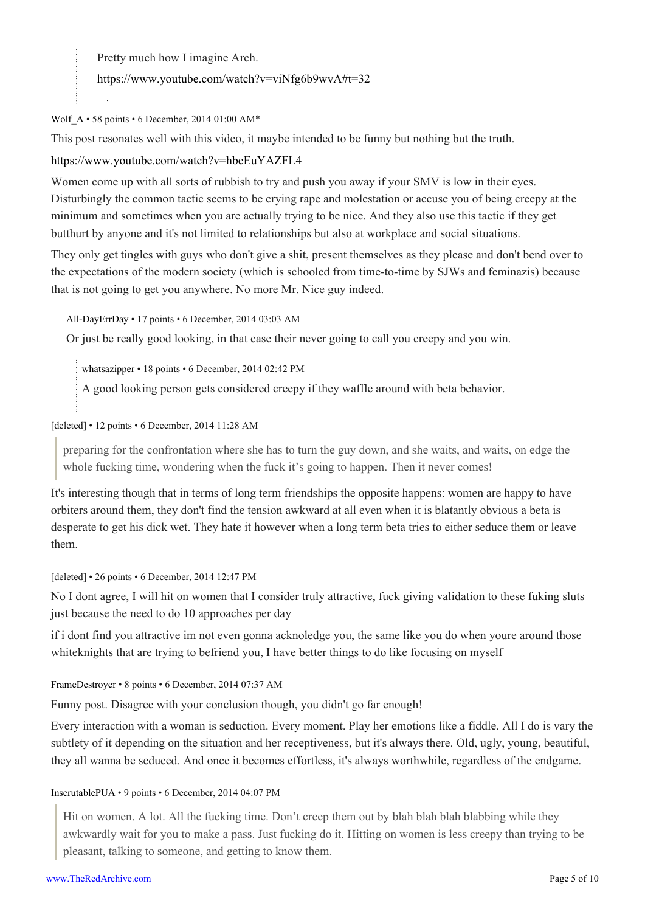Pretty much how I imagine Arch.

<https://www.youtube.com/watch?v=viNfg6b9wvA#t=32>

Wolf  $A \cdot 58$  points  $\cdot 6$  December, 2014 01:00 AM\*

This post resonates well with this video, it maybe intended to be funny but nothing but the truth.

<https://www.youtube.com/watch?v=hbeEuYAZFL4>

Women come up with all sorts of rubbish to try and push you away if your SMV is low in their eyes. Disturbingly the common tactic seems to be crying rape and molestation or accuse you of being creepy at the minimum and sometimes when you are actually trying to be nice. And they also use this tactic if they get butthurt by anyone and it's not limited to relationships but also at workplace and social situations.

They only get tingles with guys who don't give a shit, present themselves as they please and don't bend over to the expectations of the modern society (which is schooled from time-to-time by SJWs and feminazis) because that is not going to get you anywhere. No more Mr. Nice guy indeed.

[All-DayErrDay](https://old.reddit.com/user/All-DayErrDay) • 17 points • 6 December, 2014 03:03 AM

Or just be really good looking, in that case their never going to call you creepy and you win.

[whatsazipper](https://old.reddit.com/user/whatsazipper) • 18 points • 6 December, 2014 02:42 PM

A good looking person gets considered creepy if they waffle around with beta behavior.

[deleted] • 12 points • 6 December, 2014 11:28 AM

preparing for the confrontation where she has to turn the guy down, and she waits, and waits, on edge the whole fucking time, wondering when the fuck it's going to happen. Then it never comes!

It's interesting though that in terms of long term friendships the opposite happens: women are happy to have orbiters around them, they don't find the tension awkward at all even when it is blatantly obvious a beta is desperate to get his dick wet. They hate it however when a long term beta tries to either seduce them or leave them.

[deleted] • 26 points • 6 December, 2014 12:47 PM

No I dont agree, I will hit on women that I consider truly attractive, fuck giving validation to these fuking sluts just because the need to do 10 approaches per day

if i dont find you attractive im not even gonna acknoledge you, the same like you do when youre around those whiteknights that are trying to befriend you, I have better things to do like focusing on myself

[FrameDestroyer](https://old.reddit.com/user/FrameDestroyer) • 8 points • 6 December, 2014 07:37 AM

Funny post. Disagree with your conclusion though, you didn't go far enough!

Every interaction with a woman is seduction. Every moment. Play her emotions like a fiddle. All I do is vary the subtlety of it depending on the situation and her receptiveness, but it's always there. Old, ugly, young, beautiful, they all wanna be seduced. And once it becomes effortless, it's always worthwhile, regardless of the endgame.

[InscrutablePUA](https://old.reddit.com/user/InscrutablePUA) • 9 points • 6 December, 2014 04:07 PM

Hit on women. A lot. All the fucking time. Don't creep them out by blah blah blah blabbing while they awkwardly wait for you to make a pass. Just fucking do it. Hitting on women is less creepy than trying to be pleasant, talking to someone, and getting to know them.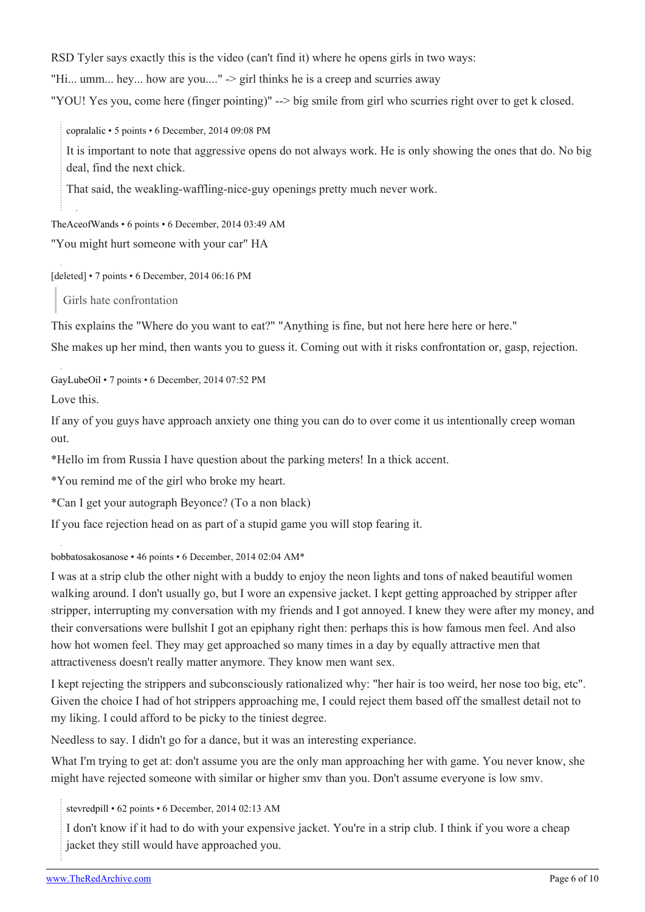RSD Tyler says exactly this is the video (can't find it) where he opens girls in two ways:

"Hi... umm... hey... how are you...." -> girl thinks he is a creep and scurries away

"YOU! Yes you, come here (finger pointing)" --> big smile from girl who scurries right over to get k closed.

[copralalic](https://old.reddit.com/user/copralalic) • 5 points • 6 December, 2014 09:08 PM

It is important to note that aggressive opens do not always work. He is only showing the ones that do. No big deal, find the next chick.

That said, the weakling-waffling-nice-guy openings pretty much never work.

[TheAceofWands](https://old.reddit.com/user/TheAceofWands) • 6 points • 6 December, 2014 03:49 AM

"You might hurt someone with your car" HA

[deleted] • 7 points • 6 December, 2014 06:16 PM

Girls hate confrontation

This explains the "Where do you want to eat?" "Anything is fine, but not here here here or here."

She makes up her mind, then wants you to guess it. Coming out with it risks confrontation or, gasp, rejection.

[GayLubeOil](https://old.reddit.com/user/GayLubeOil) • 7 points • 6 December, 2014 07:52 PM

Love this.

If any of you guys have approach anxiety one thing you can do to over come it us intentionally creep woman out.

\*Hello im from Russia I have question about the parking meters! In a thick accent.

\*You remind me of the girl who broke my heart.

\*Can I get your autograph Beyonce? (To a non black)

If you face rejection head on as part of a stupid game you will stop fearing it.

[bobbatosakosanose](https://old.reddit.com/user/bobbatosakosanose) • 46 points • 6 December, 2014 02:04 AM\*

I was at a strip club the other night with a buddy to enjoy the neon lights and tons of naked beautiful women walking around. I don't usually go, but I wore an expensive jacket. I kept getting approached by stripper after stripper, interrupting my conversation with my friends and I got annoyed. I knew they were after my money, and their conversations were bullshit I got an epiphany right then: perhaps this is how famous men feel. And also how hot women feel. They may get approached so many times in a day by equally attractive men that attractiveness doesn't really matter anymore. They know men want sex.

I kept rejecting the strippers and subconsciously rationalized why: "her hair is too weird, her nose too big, etc". Given the choice I had of hot strippers approaching me, I could reject them based off the smallest detail not to my liking. I could afford to be picky to the tiniest degree.

Needless to say. I didn't go for a dance, but it was an interesting experiance.

What I'm trying to get at: don't assume you are the only man approaching her with game. You never know, she might have rejected someone with similar or higher smv than you. Don't assume everyone is low smv.

[stevredpill](https://old.reddit.com/user/stevredpill) • 62 points • 6 December, 2014 02:13 AM

I don't know if it had to do with your expensive jacket. You're in a strip club. I think if you wore a cheap jacket they still would have approached you.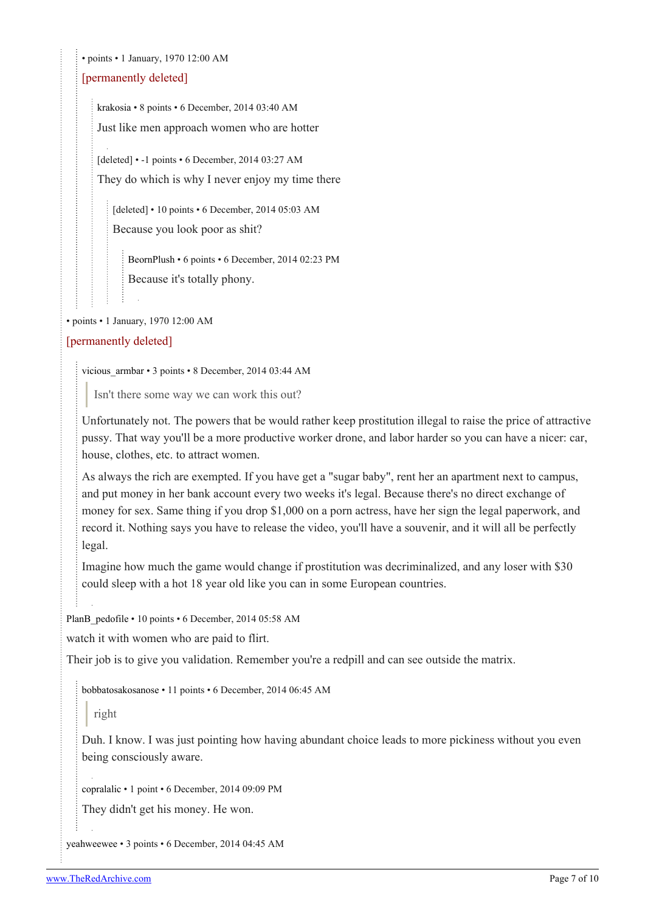• points • 1 January, 1970 12:00 AM

#### [permanently deleted]

[krakosia](https://old.reddit.com/user/krakosia) • 8 points • 6 December, 2014 03:40 AM Just like men approach women who are hotter

[deleted] • -1 points • 6 December, 2014 03:27 AM They do which is why I never enjoy my time there

[deleted] • 10 points • 6 December, 2014 05:03 AM Because you look poor as shit?

[BeornPlush](https://old.reddit.com/user/BeornPlush) • 6 points • 6 December, 2014 02:23 PM Because it's totally phony.

• points • 1 January, 1970 12:00 AM

#### [permanently deleted]

[vicious\\_armbar](https://old.reddit.com/user/vicious_armbar) • 3 points • 8 December, 2014 03:44 AM

Isn't there some way we can work this out?

Unfortunately not. The powers that be would rather keep prostitution illegal to raise the price of attractive pussy. That way you'll be a more productive worker drone, and labor harder so you can have a nicer: car, house, clothes, etc. to attract women.

As always the rich are exempted. If you have get a "sugar baby", rent her an apartment next to campus, and put money in her bank account every two weeks it's legal. Because there's no direct exchange of money for sex. Same thing if you drop \$1,000 on a porn actress, have her sign the legal paperwork, and record it. Nothing says you have to release the video, you'll have a souvenir, and it will all be perfectly legal.

Imagine how much the game would change if prostitution was decriminalized, and any loser with \$30 could sleep with a hot 18 year old like you can in some European countries.

[PlanB\\_pedofile](https://old.reddit.com/user/PlanB_pedofile) • 10 points • 6 December, 2014 05:58 AM

watch it with women who are paid to flirt.

Their job is to give you validation. Remember you're a redpill and can see outside the matrix.

[bobbatosakosanose](https://old.reddit.com/user/bobbatosakosanose) • 11 points • 6 December, 2014 06:45 AM

right

Duh. I know. I was just pointing how having abundant choice leads to more pickiness without you even being consciously aware.

[copralalic](https://old.reddit.com/user/copralalic) • 1 point • 6 December, 2014 09:09 PM

They didn't get his money. He won.

[yeahweewee](https://old.reddit.com/user/yeahweewee) • 3 points • 6 December, 2014 04:45 AM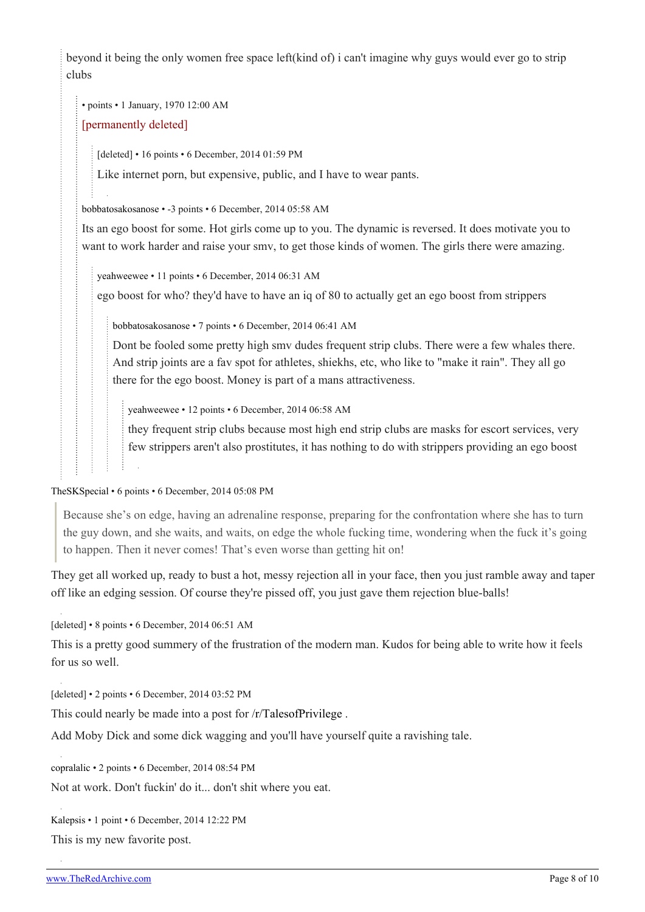beyond it being the only women free space left(kind of) i can't imagine why guys would ever go to strip clubs

• points • 1 January, 1970 12:00 AM

#### [permanently deleted]

[deleted] • 16 points • 6 December, 2014 01:59 PM

Like internet porn, but expensive, public, and I have to wear pants.

[bobbatosakosanose](https://old.reddit.com/user/bobbatosakosanose) • -3 points • 6 December, 2014 05:58 AM

Its an ego boost for some. Hot girls come up to you. The dynamic is reversed. It does motivate you to want to work harder and raise your smv, to get those kinds of women. The girls there were amazing.

[yeahweewee](https://old.reddit.com/user/yeahweewee) • 11 points • 6 December, 2014 06:31 AM

ego boost for who? they'd have to have an iq of 80 to actually get an ego boost from strippers

[bobbatosakosanose](https://old.reddit.com/user/bobbatosakosanose) • 7 points • 6 December, 2014 06:41 AM

Dont be fooled some pretty high smv dudes frequent strip clubs. There were a few whales there. And strip joints are a fav spot for athletes, shiekhs, etc, who like to "make it rain". They all go there for the ego boost. Money is part of a mans attractiveness.

[yeahweewee](https://old.reddit.com/user/yeahweewee) • 12 points • 6 December, 2014 06:58 AM

they frequent strip clubs because most high end strip clubs are masks for escort services, very few strippers aren't also prostitutes, it has nothing to do with strippers providing an ego boost

[TheSKSpecial](https://old.reddit.com/user/TheSKSpecial) • 6 points • 6 December, 2014 05:08 PM

Because she's on edge, having an adrenaline response, preparing for the confrontation where she has to turn the guy down, and she waits, and waits, on edge the whole fucking time, wondering when the fuck it's going to happen. Then it never comes! That's even worse than getting hit on!

They get all worked up, ready to bust a hot, messy rejection all in your face, then you just ramble away and taper off like an edging session. Of course they're pissed off, you just gave them rejection blue-balls!

[deleted] • 8 points • 6 December, 2014 06:51 AM

This is a pretty good summery of the frustration of the modern man. Kudos for being able to write how it feels for us so well.

[deleted] • 2 points • 6 December, 2014 03:52 PM

This could nearly be made into a post for [/r/TalesofPrivilege](https://theredarchive.com/r/TalesofPrivilege) .

Add Moby Dick and some dick wagging and you'll have yourself quite a ravishing tale.

[copralalic](https://old.reddit.com/user/copralalic) • 2 points • 6 December, 2014 08:54 PM

Not at work. Don't fuckin' do it... don't shit where you eat.

[Kalepsis](https://old.reddit.com/user/Kalepsis) • 1 point • 6 December, 2014 12:22 PM

This is my new favorite post.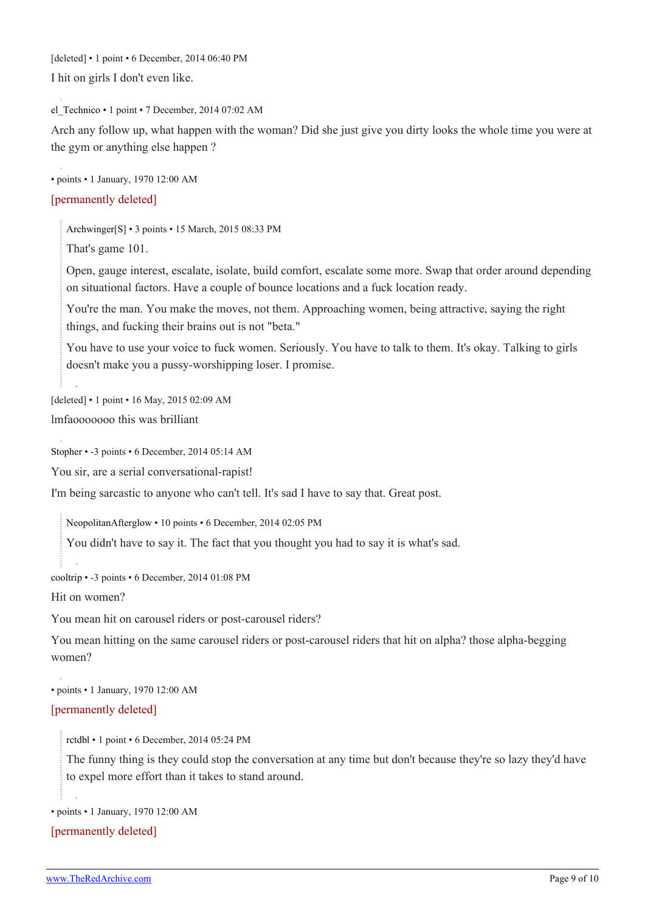[deleted] • 1 point • 6 December, 2014 06:40 PM

I hit on girls I don't even like.

el Technico • 1 point • 7 December, 2014 07:02 AM

Arch any follow up, what happen with the woman? Did she just give you dirty looks the whole time you were at the gym or anything else happen ?

• points • 1 January, 1970 12:00 AM

#### [permanently deleted]

[Archwinger](https://old.reddit.com/user/Archwinger)[\[S\]](https://theredarchive.com/r/TheRedPill/comments/2of0bz/hit_on_women_all_the_time/) • 3 points • 15 March, 2015 08:33 PM

That's game 101.

Open, gauge interest, escalate, isolate, build comfort, escalate some more. Swap that order around depending on situational factors. Have a couple of bounce locations and a fuck location ready.

You're the man. You make the moves, not them. Approaching women, being attractive, saying the right things, and fucking their brains out is not "beta."

You have to use your voice to fuck women. Seriously. You have to talk to them. It's okay. Talking to girls doesn't make you a pussy-worshipping loser. I promise.

[deleted] • 1 point • 16 May, 2015 02:09 AM

lmfaooooooo this was brilliant

[Stopher](https://old.reddit.com/user/Stopher) • -3 points • 6 December, 2014 05:14 AM

You sir, are a serial conversational-rapist!

I'm being sarcastic to anyone who can't tell. It's sad I have to say that. Great post.

[NeopolitanAfterglow](https://old.reddit.com/user/NeopolitanAfterglow) • 10 points • 6 December, 2014 02:05 PM

You didn't have to say it. The fact that you thought you had to say it is what's sad.

[cooltrip](https://old.reddit.com/user/cooltrip) • -3 points • 6 December, 2014 01:08 PM

Hit on women?

You mean hit on carousel riders or post-carousel riders?

You mean hitting on the same carousel riders or post-carousel riders that hit on alpha? those alpha-begging women?

• points • 1 January, 1970 12:00 AM

[permanently deleted]

[rctdbl](https://old.reddit.com/user/rctdbl) • 1 point • 6 December, 2014 05:24 PM

The funny thing is they could stop the conversation at any time but don't because they're so lazy they'd have to expel more effort than it takes to stand around.

• points • 1 January, 1970 12:00 AM

[permanently deleted]